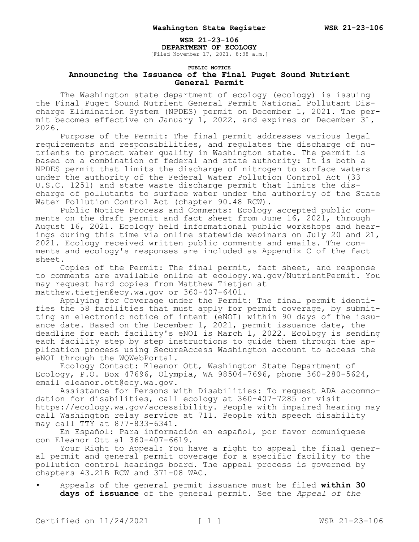## **WSR 21-23-106**

**DEPARTMENT OF ECOLOGY** [Filed November 17, 2021, 8:38 a.m.]

## **PUBLIC NOTICE Announcing the Issuance of the Final Puget Sound Nutrient General Permit**

The Washington state department of ecology (ecology) is issuing the Final Puget Sound Nutrient General Permit National Pollutant Discharge Elimination System (NPDES) permit on December 1, 2021. The permit becomes effective on January 1, 2022, and expires on December 31, 2026.

Purpose of the Permit: The final permit addresses various legal requirements and responsibilities, and regulates the discharge of nutrients to protect water quality in Washington state. The permit is based on a combination of federal and state authority: It is both a NPDES permit that limits the discharge of nitrogen to surface waters under the authority of the Federal Water Pollution Control Act (33 U.S.C. 1251) and state waste discharge permit that limits the discharge of pollutants to surface water under the authority of the State Water Pollution Control Act (chapter 90.48 RCW).

Public Notice Process and Comments: Ecology accepted public comments on the draft permit and fact sheet from June 16, 2021, through August 16, 2021. Ecology held informational public workshops and hearings during this time via online statewide webinars on July 20 and 21, 2021. Ecology received written public comments and emails. The comments and ecology's responses are included as Appendix C of the fact sheet.

Copies of the Permit: The final permit, fact sheet, and response to comments are available online at ecology.wa.gov/NutrientPermit. You may request hard copies from Matthew Tietjen at matthew.tietjen@ecy.wa.gov or 360-407-6401.

Applying for Coverage under the Permit: The final permit identifies the 58 facilities that must apply for permit coverage, by submitting an electronic notice of intent (eNOI) within 90 days of the issuance date. Based on the December 1, 2021, permit issuance date, the deadline for each facility's eNOI is March 1, 2022. Ecology is sending each facility step by step instructions to guide them through the application process using SecureAccess Washington account to access the eNOI through the WQWebPortal.

Ecology Contact: Eleanor Ott, Washington State Department of Ecology, P.O. Box 47696, Olympia, WA 98504-7696, phone 360-280-5624, email eleanor.ott@ecy.wa.gov.

Assistance for Persons with Disabilities: To request ADA accommodation for disabilities, call ecology at 360-407-7285 or visit https://ecology.wa.gov/accessibility. People with impaired hearing may call Washington relay service at 711. People with speech disability may call TTY at 877-833-6341.

En Español: Para información en español, por favor comuníquese con Eleanor Ott al 360-407-6619.

Your Right to Appeal: You have a right to appeal the final general permit and general permit coverage for a specific facility to the pollution control hearings board. The appeal process is governed by chapters 43.21B RCW and 371-08 WAC.

• Appeals of the general permit issuance must be filed **within 30 days of issuance** of the general permit. See the *Appeal of the*